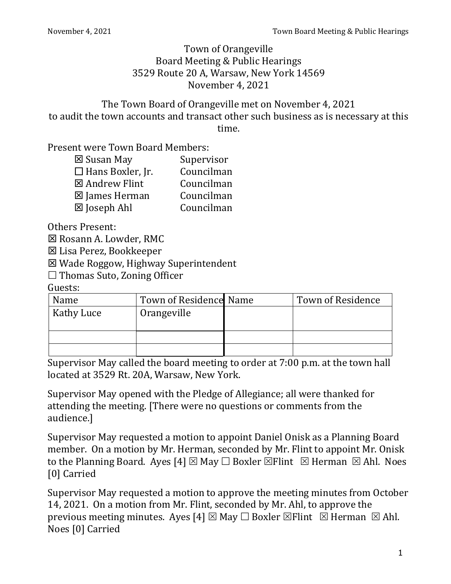Town of Orangeville Board Meeting & Public Hearings 3529 Route 20 A, Warsaw, New York 14569 November 4, 2021

The Town Board of Orangeville met on November 4, 2021 to audit the town accounts and transact other such business as is necessary at this time.

Present were Town Board Members:

| ⊠ Susan May                | Supervisor |
|----------------------------|------------|
| $\square$ Hans Boxler, Jr. | Councilman |
| ⊠ Andrew Flint             | Councilman |
| ⊠ James Herman             | Councilman |
| ⊠ Joseph Ahl               | Councilman |

Others Present:

**⊠ Rosann A. Lowder, RMC** 

Lisa Perez, Bookkeeper

Wade Roggow, Highway Superintendent

 $\Box$  Thomas Suto, Zoning Officer

Guests:

| Name       | Town of Residence Name | <b>Town of Residence</b> |
|------------|------------------------|--------------------------|
| Kathy Luce | Orangeville            |                          |
|            |                        |                          |
|            |                        |                          |

Supervisor May called the board meeting to order at 7:00 p.m. at the town hall located at 3529 Rt. 20A, Warsaw, New York.

Supervisor May opened with the Pledge of Allegiance; all were thanked for attending the meeting. [There were no questions or comments from the audience.]

Supervisor May requested a motion to appoint Daniel Onisk as a Planning Board member. On a motion by Mr. Herman, seconded by Mr. Flint to appoint Mr. Onisk to the Planning Board. Ayes [4]  $\boxtimes$  May  $\Box$  Boxler  $\boxtimes$  Flint  $\Box$  Herman  $\boxtimes$  Ahl. Noes [0] Carried

Supervisor May requested a motion to approve the meeting minutes from October 14, 2021. On a motion from Mr. Flint, seconded by Mr. Ahl, to approve the previous meeting minutes. Ayes [4]  $\boxtimes$  May  $\Box$  Boxler  $\boxtimes$  Flint  $\boxtimes$  Herman  $\boxtimes$  Ahl. Noes [0] Carried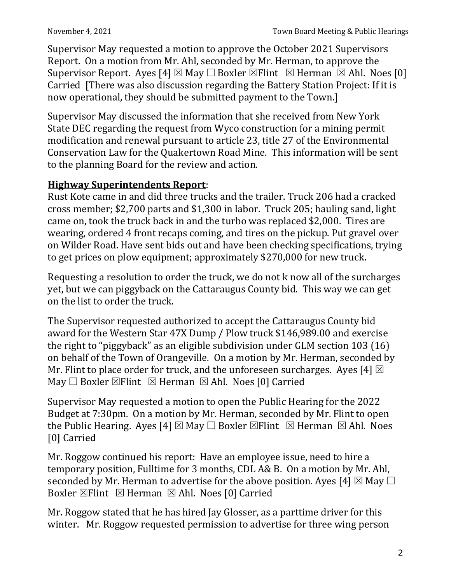Supervisor May requested a motion to approve the October 2021 Supervisors Report. On a motion from Mr. Ahl, seconded by Mr. Herman, to approve the Supervisor Report. Ayes [4]  $\boxtimes$  May  $\Box$  Boxler  $\boxtimes$  Flint  $\boxtimes$  Herman  $\boxtimes$  Ahl. Noes [0] Carried [There was also discussion regarding the Battery Station Project: If it is now operational, they should be submitted payment to the Town.]

Supervisor May discussed the information that she received from New York State DEC regarding the request from Wyco construction for a mining permit modification and renewal pursuant to article 23, title 27 of the Environmental Conservation Law for the Quakertown Road Mine. This information will be sent to the planning Board for the review and action.

## **Highway Superintendents Report**:

Rust Kote came in and did three trucks and the trailer. Truck 206 had a cracked cross member; \$2,700 parts and \$1,300 in labor. Truck 205; hauling sand, light came on, took the truck back in and the turbo was replaced \$2,000. Tires are wearing, ordered 4 front recaps coming, and tires on the pickup. Put gravel over on Wilder Road. Have sent bids out and have been checking specifications, trying to get prices on plow equipment; approximately \$270,000 for new truck.

Requesting a resolution to order the truck, we do not k now all of the surcharges yet, but we can piggyback on the Cattaraugus County bid. This way we can get on the list to order the truck.

The Supervisor requested authorized to accept the Cattaraugus County bid award for the Western Star 47X Dump / Plow truck \$146,989.00 and exercise the right to "piggyback" as an eligible subdivision under GLM section 103 (16) on behalf of the Town of Orangeville. On a motion by Mr. Herman, seconded by Mr. Flint to place order for truck, and the unforeseen surcharges. Ayes [4]  $\boxtimes$ May  $\Box$  Boxler  $\boxtimes$  Flint  $\boxtimes$  Herman  $\boxtimes$  Ahl. Noes [0] Carried

Supervisor May requested a motion to open the Public Hearing for the 2022 Budget at 7:30pm. On a motion by Mr. Herman, seconded by Mr. Flint to open the Public Hearing. Ayes [4]  $\boxtimes$  May  $\Box$  Boxler  $\boxtimes$  Flint  $\Box$  Herman  $\boxtimes$  Ahl. Noes [0] Carried

Mr. Roggow continued his report: Have an employee issue, need to hire a temporary position, Fulltime for 3 months, CDL A& B. On a motion by Mr. Ahl, seconded by Mr. Herman to advertise for the above position. Ayes [4]  $\boxtimes$  May  $\Box$ Boxler  $\boxtimes$  Flint  $\boxtimes$  Herman  $\boxtimes$  Ahl. Noes [0] Carried

Mr. Roggow stated that he has hired Jay Glosser, as a parttime driver for this winter. Mr. Roggow requested permission to advertise for three wing person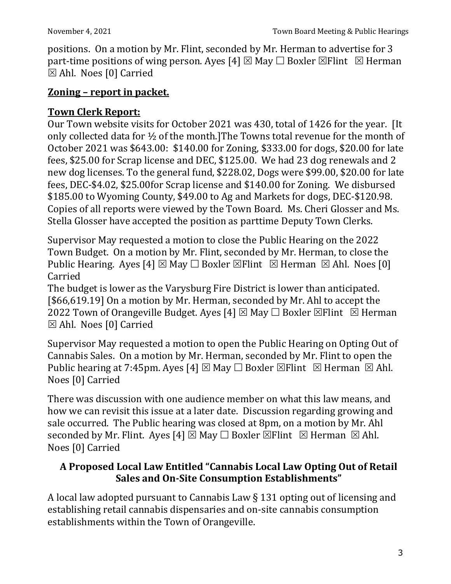positions. On a motion by Mr. Flint, seconded by Mr. Herman to advertise for 3 part-time positions of wing person. Ayes [4]  $\boxtimes$  May  $\Box$  Boxler  $\boxtimes$  Flint  $\boxtimes$  Herman Ahl. Noes [0] Carried

#### **Zoning – report in packet.**

#### **Town Clerk Report:**

Our Town website visits for October 2021 was 430, total of 1426 for the year. [It only collected data for ½ of the month.]The Towns total revenue for the month of October 2021 was \$643.00: \$140.00 for Zoning, \$333.00 for dogs, \$20.00 for late fees, \$25.00 for Scrap license and DEC, \$125.00. We had 23 dog renewals and 2 new dog licenses. To the general fund, \$228.02, Dogs were \$99.00, \$20.00 for late fees, DEC-\$4.02, \$25.00for Scrap license and \$140.00 for Zoning. We disbursed \$185.00 to Wyoming County, \$49.00 to Ag and Markets for dogs, DEC-\$120.98. Copies of all reports were viewed by the Town Board. Ms. Cheri Glosser and Ms. Stella Glosser have accepted the position as parttime Deputy Town Clerks.

Supervisor May requested a motion to close the Public Hearing on the 2022 Town Budget. On a motion by Mr. Flint, seconded by Mr. Herman, to close the Public Hearing. Ayes [4]  $\boxtimes$  May  $\Box$  Boxler  $\boxtimes$  Flint  $\boxtimes$  Herman  $\boxtimes$  Ahl. Noes [0] Carried

The budget is lower as the Varysburg Fire District is lower than anticipated. [\$66,619.19] On a motion by Mr. Herman, seconded by Mr. Ahl to accept the 2022 Town of Orangeville Budget. Ayes [4]  $\boxtimes$  May  $\Box$  Boxler  $\boxtimes$  Flint  $\boxtimes$  Herman Ahl. Noes [0] Carried

Supervisor May requested a motion to open the Public Hearing on Opting Out of Cannabis Sales. On a motion by Mr. Herman, seconded by Mr. Flint to open the Public hearing at 7:45pm. Ayes [4]  $\boxtimes$  May  $\Box$  Boxler  $\boxtimes$  Flint  $\boxtimes$  Herman  $\boxtimes$  Ahl. Noes [0] Carried

There was discussion with one audience member on what this law means, and how we can revisit this issue at a later date. Discussion regarding growing and sale occurred. The Public hearing was closed at 8pm, on a motion by Mr. Ahl seconded by Mr. Flint. Ayes [4]  $\boxtimes$  May  $\Box$  Boxler  $\boxtimes$  Flint  $\boxtimes$  Herman  $\boxtimes$  Ahl. Noes [0] Carried

## **A Proposed Local Law Entitled "Cannabis Local Law Opting Out of Retail Sales and On-Site Consumption Establishments"**

A local law adopted pursuant to Cannabis Law § 131 opting out of licensing and establishing retail cannabis dispensaries and on-site cannabis consumption establishments within the Town of Orangeville.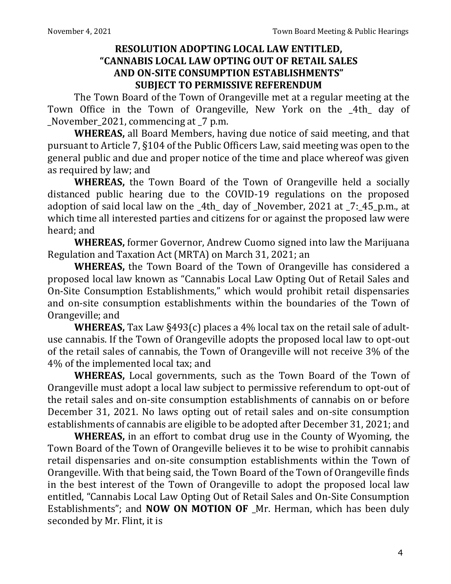#### **RESOLUTION ADOPTING LOCAL LAW ENTITLED, "CANNABIS LOCAL LAW OPTING OUT OF RETAIL SALES AND ON-SITE CONSUMPTION ESTABLISHMENTS" SUBJECT TO PERMISSIVE REFERENDUM**

The Town Board of the Town of Orangeville met at a regular meeting at the Town Office in the Town of Orangeville, New York on the \_4th\_ day of November 2021, commencing at  $\overline{7}$  p.m.

**WHEREAS,** all Board Members, having due notice of said meeting, and that pursuant to Article 7, §104 of the Public Officers Law, said meeting was open to the general public and due and proper notice of the time and place whereof was given as required by law; and

**WHEREAS,** the Town Board of the Town of Orangeville held a socially distanced public hearing due to the COVID-19 regulations on the proposed adoption of said local law on the \_4th\_ day of \_November, 2021 at \_7:\_45\_p.m., at which time all interested parties and citizens for or against the proposed law were heard; and

**WHEREAS,** former Governor, Andrew Cuomo signed into law the Marijuana Regulation and Taxation Act (MRTA) on March 31, 2021; an

**WHEREAS,** the Town Board of the Town of Orangeville has considered a proposed local law known as "Cannabis Local Law Opting Out of Retail Sales and On-Site Consumption Establishments," which would prohibit retail dispensaries and on-site consumption establishments within the boundaries of the Town of Orangeville; and

**WHEREAS,** Tax Law §493(c) places a 4% local tax on the retail sale of adultuse cannabis. If the Town of Orangeville adopts the proposed local law to opt-out of the retail sales of cannabis, the Town of Orangeville will not receive 3% of the 4% of the implemented local tax; and

**WHEREAS,** Local governments, such as the Town Board of the Town of Orangeville must adopt a local law subject to permissive referendum to opt-out of the retail sales and on-site consumption establishments of cannabis on or before December 31, 2021. No laws opting out of retail sales and on-site consumption establishments of cannabis are eligible to be adopted after December 31, 2021; and

**WHEREAS,** in an effort to combat drug use in the County of Wyoming, the Town Board of the Town of Orangeville believes it to be wise to prohibit cannabis retail dispensaries and on-site consumption establishments within the Town of Orangeville. With that being said, the Town Board of the Town of Orangeville finds in the best interest of the Town of Orangeville to adopt the proposed local law entitled, "Cannabis Local Law Opting Out of Retail Sales and On-Site Consumption Establishments"; and **NOW ON MOTION OF** \_Mr. Herman, which has been duly seconded by Mr. Flint, it is